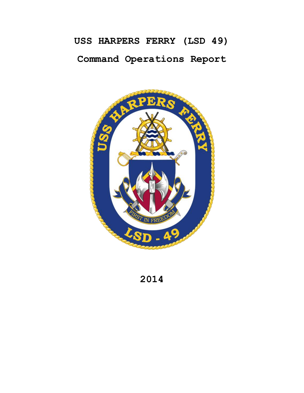# **USS HARPERS FERRY (LSD 49) Command Operations Report**



**2014**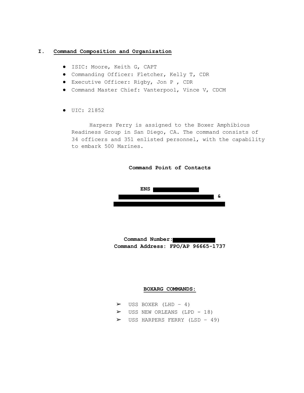## **I. Command Composition and Organization**

- ISIC: Moore, Keith G, CAPT
- Commanding Officer: Fletcher, Kelly T, CDR
- Executive Officer: Rigby, Jon P , CDR
- Command Master Chief: Vanterpool, Vince V, CDCM
- UIC: 21852

Harpers Ferry is assigned to the Boxer Amphibious Readiness Group in San Diego, CA. The command consists of 34 officers and 351 enlisted personnel, with the capability to embark 500 Marines.



**Command Number: Command Address: FPO/AP 96665-1737**

#### **BOXARG COMMANDS:**

|  | $\triangleright$ USS BOXER (LHD - 4)          |  |  |
|--|-----------------------------------------------|--|--|
|  | $\triangleright$ USS NEW ORLEANS (LPD - 18)   |  |  |
|  | $\triangleright$ USS HARPERS FERRY (LSD - 49) |  |  |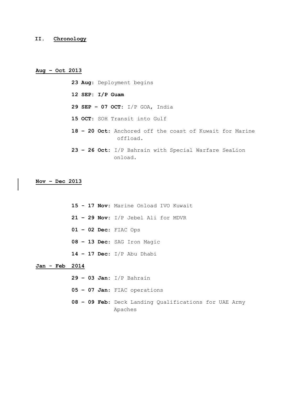## **II. Chronology**

## **Aug – Oct 2013**

**23 Aug**: Deployment begins **12 SEP: I/P Guam 29 SEP – 07 OCT:** I/P GOA, India **15 OCT**: SOH Transit into Gulf **18 – 20 Oct**: Anchored off the coast of Kuwait for Marine offload. **23 – 26 Oct:** I/P Bahrain with Special Warfare SeaLion onload.

# **Nov – Dec 2013**

**15 - 17 Nov**: Marine Onload IVO Kuwait **– 29 Nov**: I/P Jebel Ali for MDVR **– 02 Dec**: FIAC Ops **– 13 Dec**: SAG Iron Magic **– 17 Dec**: I/P Abu Dhabi

# **Jan - Feb 2014**

**– 03 Jan:** I/P Bahrain **– 07 Jan**: FIAC operations **– 09 Feb**: Deck Landing Qualifications for UAE Army Apaches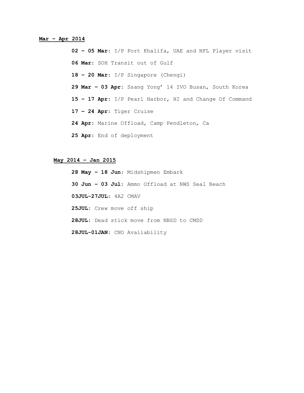## **Mar – Apr 2014**

**02 – 05 Mar**: I/P Port Khalifa, UAE and NFL Player visit **06 Mar**: SOH Transit out of Gulf **18 – 20 Mar**: I/P Singapore (Chengi) **29 Mar – 03 Apr**: Ssang Yong' 14 IVO Busan, South Korea **15 – 17 Apr**: I/P Pearl Harbor, HI and Change Of Command **17 – 24 Apr**: Tiger Cruise **24 Apr**: Marine Offload, Camp Pendleton, Ca **25 Apr**: End of deployment

## **May 2014 – Jan 2015**

**28 May – 18 Jun**: Midshipmen Embark **30 Jun – 03 Jul**: Ammo Offload at NWS Seal Beach **03JUL-27JUL**: 4A2 CMAV **25JUL:** Crew move off ship **28JUL:** Dead stick move from NBSD to CMSD **28JUL-01JAN:** CNO Availability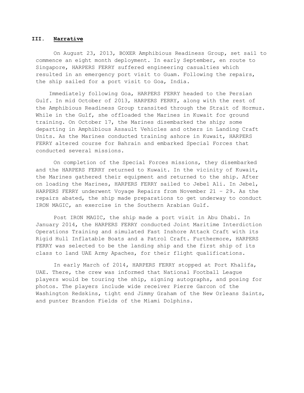#### **III. Narrative**

On August 23, 2013, BOXER Amphibious Readiness Group, set sail to commence an eight month deployment. In early September, en route to Singapore, HARPERS FERRY suffered engineering casualties which resulted in an emergency port visit to Guam. Following the repairs, the ship sailed for a port visit to Goa, India.

 Immediately following Goa, HARPERS FERRY headed to the Persian Gulf. In mid October of 2013, HARPERS FERRY, along with the rest of the Amphibious Readiness Group transited through the Strait of Hormuz. While in the Gulf, she offloaded the Marines in Kuwait for ground training. On October 17, the Marines disembarked the ship; some departing in Amphibious Assault Vehicles and others in Landing Craft Units. As the Marines conducted training ashore in Kuwait, HARPERS FERRY altered course for Bahrain and embarked Special Forces that conducted several missions.

On completion of the Special Forces missions, they disembarked and the HARPERS FERRY returned to Kuwait. In the vicinity of Kuwait, the Marines gathered their equipment and returned to the ship. After on loading the Marines, HARPERS FERRY sailed to Jebel Ali. In Jebel, HARPERS FERRY underwent Voyage Repairs from November 21 – 29. As the repairs abated, the ship made preparations to get underway to conduct IRON MAGIC, an exercise in the Southern Arabian Gulf.

Post IRON MAGIC, the ship made a port visit in Abu Dhabi. In January 2014, the HARPERS FERRY conducted Joint Maritime Interdiction Operations Training and simulated Fast Inshore Attack Craft with its Rigid Hull Inflatable Boats and a Patrol Craft. Furthermore, HARPERS FERRY was selected to be the landing ship and the first ship of its class to land UAE Army Apaches, for their flight qualifications.

In early March of 2014, HARPERS FERRY stopped at Port Khalifa, UAE. There, the crew was informed that National Football League players would be touring the ship, signing autographs, and posing for photos. The players include wide receiver Pierre Garcon of the Washington Redskins, tight end Jimmy Graham of the New Orleans Saints, and punter Brandon Fields of the Miami Dolphins.